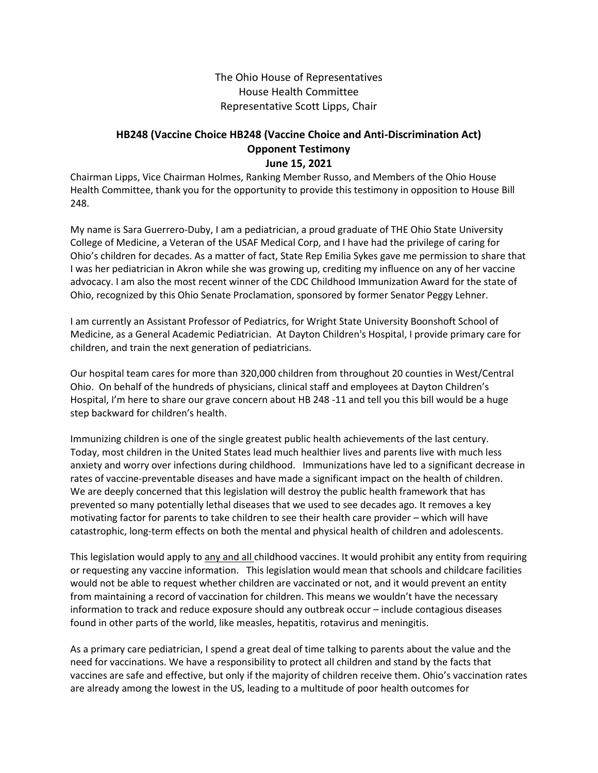The Ohio House of Representatives House Health Committee Representative Scott Lipps, Chair

## **HB248 (Vaccine Choice HB248 (Vaccine Choice and Anti-Discrimination Act) Opponent Testimony June 15, 2021**

Chairman Lipps, Vice Chairman Holmes, Ranking Member Russo, and Members of the Ohio House Health Committee, thank you for the opportunity to provide this testimony in opposition to House Bill 248.

My name is Sara Guerrero-Duby, I am a pediatrician, a proud graduate of THE Ohio State University College of Medicine, a Veteran of the USAF Medical Corp, and I have had the privilege of caring for Ohio's children for decades. As a matter of fact, State Rep Emilia Sykes gave me permission to share that I was her pediatrician in Akron while she was growing up, crediting my influence on any of her vaccine advocacy. I am also the most recent winner of the CDC Childhood Immunization Award for the state of Ohio, recognized by this Ohio Senate Proclamation, sponsored by former Senator Peggy Lehner.

I am currently an Assistant Professor of Pediatrics, for Wright State University Boonshoft School of Medicine, as a General Academic Pediatrician. At Dayton Children's Hospital, I provide primary care for children, and train the next generation of pediatricians.

Our hospital team cares for more than 320,000 children from throughout 20 counties in West/Central Ohio. On behalf of the hundreds of physicians, clinical staff and employees at Dayton Children's Hospital, I'm here to share our grave concern about HB 248 -11 and tell you this bill would be a huge step backward for children's health.

Immunizing children is one of the single greatest public health achievements of the last century. Today, most children in the United States lead much healthier lives and parents live with much less anxiety and worry over infections during childhood. Immunizations have led to a significant decrease in rates of vaccine-preventable diseases and have made a significant impact on the health of children. We are deeply concerned that this legislation will destroy the public health framework that has prevented so many potentially lethal diseases that we used to see decades ago. It removes a key motivating factor for parents to take children to see their health care provider – which will have catastrophic, long-term effects on both the mental and physical health of children and adolescents.

This legislation would apply to any and all childhood vaccines. It would prohibit any entity from requiring or requesting any vaccine information. This legislation would mean that schools and childcare facilities would not be able to request whether children are vaccinated or not, and it would prevent an entity from maintaining a record of vaccination for children. This means we wouldn't have the necessary information to track and reduce exposure should any outbreak occur – include contagious diseases found in other parts of the world, like measles, hepatitis, rotavirus and meningitis.

As a primary care pediatrician, I spend a great deal of time talking to parents about the value and the need for vaccinations. We have a responsibility to protect all children and stand by the facts that vaccines are safe and effective, but only if the majority of children receive them. Ohio's vaccination rates are already among the lowest in the US, leading to a multitude of poor health outcomes for